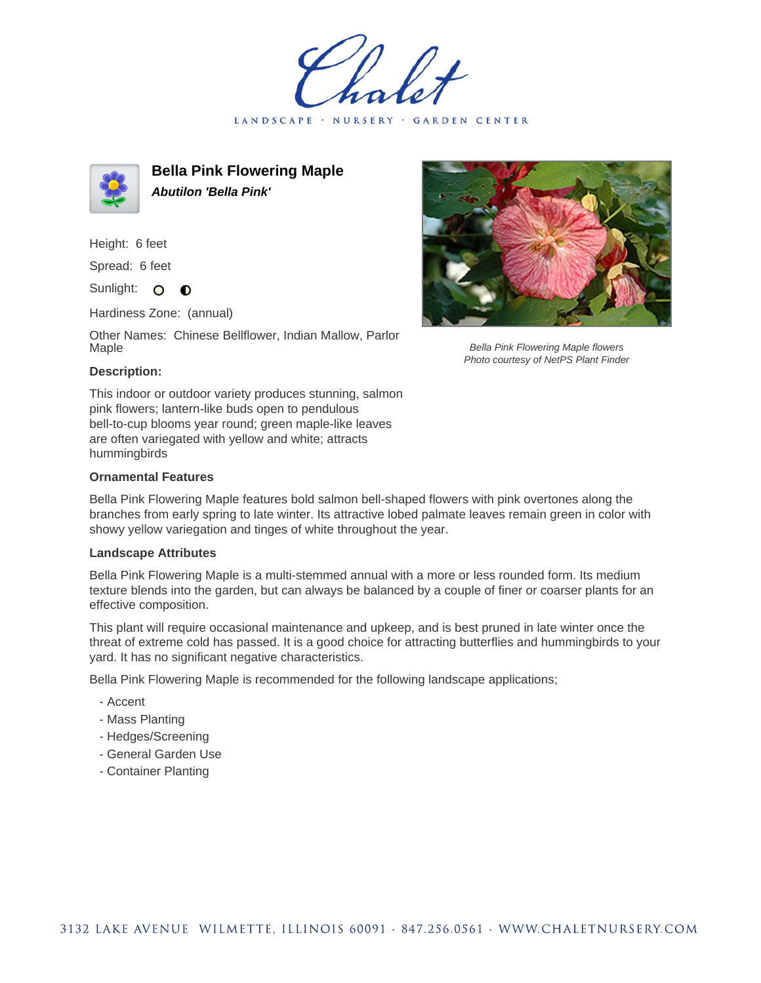LANDSCAPE · NURSERY · GARDEN CENTER



**Bella Pink Flowering Maple Abutilon 'Bella Pink'**

Height: 6 feet

Spread: 6 feet

Sunlight: O  $\bullet$ 

Hardiness Zone: (annual)

Other Names: Chinese Bellflower, Indian Mallow, Parlor Maple



Bella Pink Flowering Maple flowers Photo courtesy of NetPS Plant Finder

## **Description:**

This indoor or outdoor variety produces stunning, salmon pink flowers; lantern-like buds open to pendulous bell-to-cup blooms year round; green maple-like leaves are often variegated with yellow and white; attracts hummingbirds

## **Ornamental Features**

Bella Pink Flowering Maple features bold salmon bell-shaped flowers with pink overtones along the branches from early spring to late winter. Its attractive lobed palmate leaves remain green in color with showy yellow variegation and tinges of white throughout the year.

## **Landscape Attributes**

Bella Pink Flowering Maple is a multi-stemmed annual with a more or less rounded form. Its medium texture blends into the garden, but can always be balanced by a couple of finer or coarser plants for an effective composition.

This plant will require occasional maintenance and upkeep, and is best pruned in late winter once the threat of extreme cold has passed. It is a good choice for attracting butterflies and hummingbirds to your yard. It has no significant negative characteristics.

Bella Pink Flowering Maple is recommended for the following landscape applications;

- Accent
- Mass Planting
- Hedges/Screening
- General Garden Use
- Container Planting